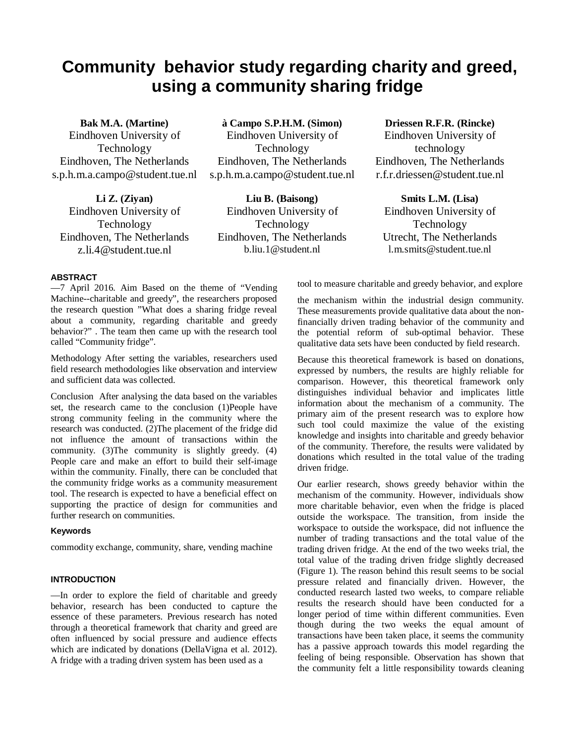# **Community behavior study regarding charity and greed, using a community sharing fridge**

**Bak M.A. (Martine)** Eindhoven University of Technology Eindhoven, The Netherlands s.p.h.m.a.campo@student.tue.nl

**Li Z. (Ziyan)** Eindhoven University of Technology Eindhoven, The Netherlands z.li.4@student.tue.nl

**à Campo S.P.H.M. (Simon)**

Eindhoven University of Technology Eindhoven, The Netherlands s.p.h.m.a.campo@student.tue.nl

**Liu B. (Baisong)** Eindhoven University of Technology Eindhoven, The Netherlands b.liu.1@student.nl

**Driessen R.F.R. (Rincke)** Eindhoven University of technology Eindhoven, The Netherlands r.f.r.driessen@student.tue.nl

**Smits L.M. (Lisa)** Eindhoven University of Technology Utrecht, The Netherlands l.m.smits@student.tue.nl

## **ABSTRACT**

—7 April 2016. Aim Based on the theme of "Vending Machine--charitable and greedy", the researchers proposed the research question "What does a sharing fridge reveal about a community, regarding charitable and greedy behavior?" . The team then came up with the research tool called "Community fridge".

Methodology After setting the variables, researchers used field research methodologies like observation and interview and sufficient data was collected.

Conclusion After analysing the data based on the variables set, the research came to the conclusion (1)People have strong community feeling in the community where the research was conducted. (2)The placement of the fridge did not influence the amount of transactions within the community. (3)The community is slightly greedy. (4) People care and make an effort to build their self-image within the community. Finally, there can be concluded that the community fridge works as a community measurement tool. The research is expected to have a beneficial effect on supporting the practice of design for communities and further research on communities.

#### **Keywords**

commodity exchange, community, share, vending machine

# **INTRODUCTION**

—In order to explore the field of charitable and greedy behavior, research has been conducted to capture the essence of these parameters. Previous research has noted through a theoretical framework that charity and greed are often influenced by social pressure and audience effects which are indicated by donations (DellaVigna et al. 2012). A fridge with a trading driven system has been used as a

tool to measure charitable and greedy behavior, and explore

the mechanism within the industrial design community. These measurements provide qualitative data about the nonfinancially driven trading behavior of the community and the potential reform of sub-optimal behavior. These qualitative data sets have been conducted by field research.

Because this theoretical framework is based on donations, expressed by numbers, the results are highly reliable for comparison. However, this theoretical framework only distinguishes individual behavior and implicates little information about the mechanism of a community. The primary aim of the present research was to explore how such tool could maximize the value of the existing knowledge and insights into charitable and greedy behavior of the community. Therefore, the results were validated by donations which resulted in the total value of the trading driven fridge.

Our earlier research, shows greedy behavior within the mechanism of the community. However, individuals show more charitable behavior, even when the fridge is placed outside the workspace. The transition, from inside the workspace to outside the workspace, did not influence the number of trading transactions and the total value of the trading driven fridge. At the end of the two weeks trial, the total value of the trading driven fridge slightly decreased (Figure 1). The reason behind this result seems to be social pressure related and financially driven. However, the conducted research lasted two weeks, to compare reliable results the research should have been conducted for a longer period of time within different communities. Even though during the two weeks the equal amount of transactions have been taken place, it seems the community has a passive approach towards this model regarding the feeling of being responsible. Observation has shown that the community felt a little responsibility towards cleaning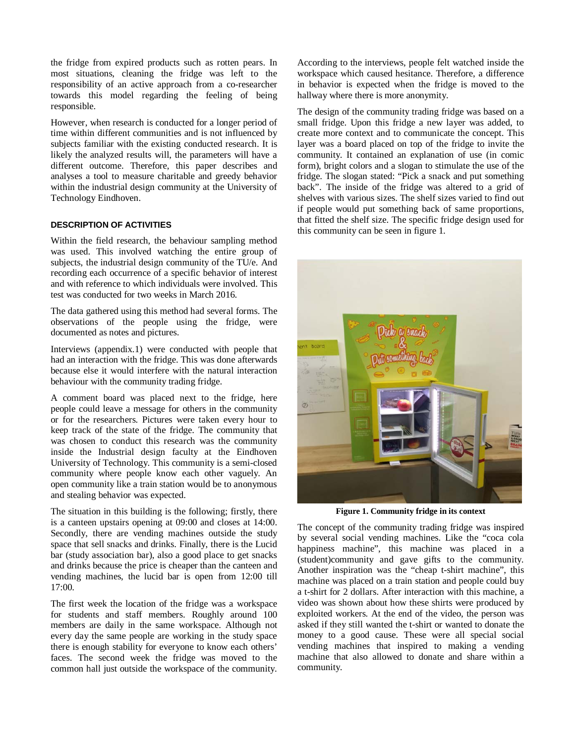the fridge from expired products such as rotten pears. In most situations, cleaning the fridge was left to the responsibility of an active approach from a co-researcher towards this model regarding the feeling of being responsible.

However, when research is conducted for a longer period of time within different communities and is not influenced by subjects familiar with the existing conducted research. It is likely the analyzed results will, the parameters will have a different outcome. Therefore, this paper describes and analyses a tool to measure charitable and greedy behavior within the industrial design community at the University of Technology Eindhoven.

## **DESCRIPTION OF ACTIVITIES**

Within the field research, the behaviour sampling method was used. This involved watching the entire group of subjects, the industrial design community of the TU/e. And recording each occurrence of a specific behavior of interest and with reference to which individuals were involved. This test was conducted for two weeks in March 2016.

The data gathered using this method had several forms. The observations of the people using the fridge, were documented as notes and pictures.

Interviews (appendix.1) were conducted with people that had an interaction with the fridge. This was done afterwards because else it would interfere with the natural interaction behaviour with the community trading fridge.

A comment board was placed next to the fridge, here people could leave a message for others in the community or for the researchers. Pictures were taken every hour to keep track of the state of the fridge. The community that was chosen to conduct this research was the community inside the Industrial design faculty at the Eindhoven University of Technology. This community is a semi-closed community where people know each other vaguely. An open community like a train station would be to anonymous and stealing behavior was expected.

The situation in this building is the following; firstly, there is a canteen upstairs opening at 09:00 and closes at 14:00. Secondly, there are vending machines outside the study space that sell snacks and drinks. Finally, there is the Lucid bar (study association bar), also a good place to get snacks and drinks because the price is cheaper than the canteen and vending machines, the lucid bar is open from 12:00 till 17:00.

The first week the location of the fridge was a workspace for students and staff members. Roughly around 100 members are daily in the same workspace. Although not every day the same people are working in the study space there is enough stability for everyone to know each others' faces. The second week the fridge was moved to the common hall just outside the workspace of the community.

According to the interviews, people felt watched inside the workspace which caused hesitance. Therefore, a difference in behavior is expected when the fridge is moved to the hallway where there is more anonymity.

The design of the community trading fridge was based on a small fridge. Upon this fridge a new layer was added, to create more context and to communicate the concept. This layer was a board placed on top of the fridge to invite the community. It contained an explanation of use (in comic form), bright colors and a slogan to stimulate the use of the fridge. The slogan stated: "Pick a snack and put something back". The inside of the fridge was altered to a grid of shelves with various sizes. The shelf sizes varied to find out if people would put something back of same proportions, that fitted the shelf size. The specific fridge design used for this community can be seen in figure 1.



**Figure 1. Community fridge in its context**

The concept of the community trading fridge was inspired by several social vending machines. Like the "coca cola happiness machine", this machine was placed in a (student)community and gave gifts to the community. Another inspiration was the "cheap t-shirt machine", this machine was placed on a train station and people could buy a t-shirt for 2 dollars. After interaction with this machine, a video was shown about how these shirts were produced by exploited workers. At the end of the video, the person was asked if they still wanted the t-shirt or wanted to donate the money to a good cause. These were all special social vending machines that inspired to making a vending machine that also allowed to donate and share within a community.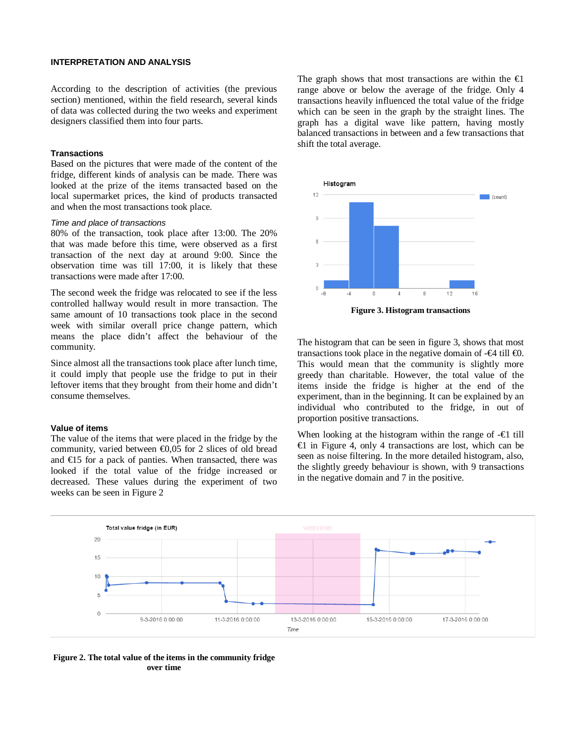#### **INTERPRETATION AND ANALYSIS**

According to the description of activities (the previous section) mentioned, within the field research, several kinds of data was collected during the two weeks and experiment designers classified them into four parts.

#### **Transactions**

Based on the pictures that were made of the content of the fridge, different kinds of analysis can be made. There was looked at the prize of the items transacted based on the local supermarket prices, the kind of products transacted and when the most transactions took place.

#### *Time and place of transactions*

80% of the transaction, took place after 13:00. The 20% that was made before this time, were observed as a first transaction of the next day at around 9:00. Since the observation time was till 17:00, it is likely that these transactions were made after 17:00.

The second week the fridge was relocated to see if the less controlled hallway would result in more transaction. The same amount of 10 transactions took place in the second week with similar overall price change pattern, which means the place didn't affect the behaviour of the community.

Since almost all the transactions took place after lunch time, it could imply that people use the fridge to put in their leftover items that they brought from their home and didn't consume themselves.

#### **Value of items**

The value of the items that were placed in the fridge by the community, varied between  $\bigoplus$ , 05 for 2 slices of old bread and €15 for a pack of panties. When transacted, there was looked if the total value of the fridge increased or decreased. These values during the experiment of two weeks can be seen in Figure 2

The graph shows that most transactions are within the  $\Theta$ range above or below the average of the fridge. Only 4 transactions heavily influenced the total value of the fridge which can be seen in the graph by the straight lines. The graph has a digital wave like pattern, having mostly balanced transactions in between and a few transactions that shift the total average.



**Figure 3. Histogram transactions**

The histogram that can be seen in figure 3, shows that most transactions took place in the negative domain of  $-\Theta$  till  $\Theta$ . This would mean that the community is slightly more greedy than charitable. However, the total value of the items inside the fridge is higher at the end of the experiment, than in the beginning. It can be explained by an individual who contributed to the fridge, in out of proportion positive transactions.

When looking at the histogram within the range of -€1 till €1 in Figure 4, only 4 transactions are lost, which can be seen as noise filtering. In the more detailed histogram, also, the slightly greedy behaviour is shown, with 9 transactions in the negative domain and 7 in the positive.



**Figure 2. The total value of the items in the community fridge over time**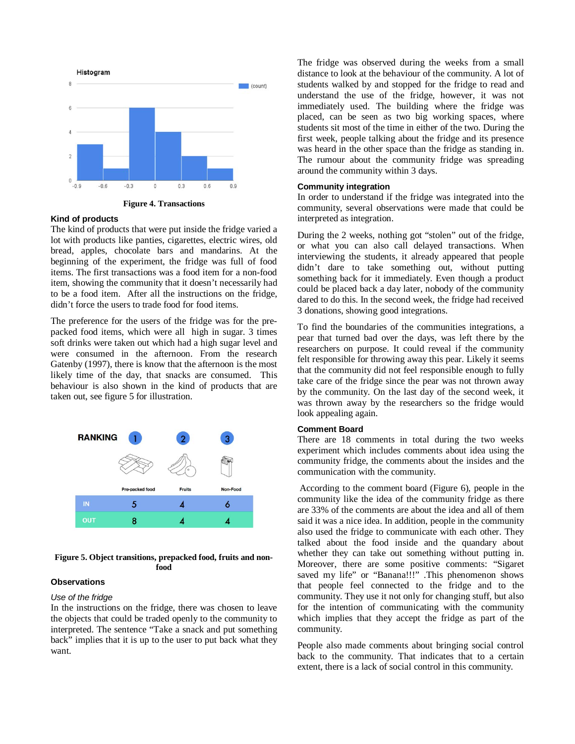

**Figure 4. Transactions**

#### **Kind of products**

The kind of products that were put inside the fridge varied a lot with products like panties, cigarettes, electric wires, old bread, apples, chocolate bars and mandarins. At the beginning of the experiment, the fridge was full of food items. The first transactions was a food item for a non-food item, showing the community that it doesn't necessarily had to be a food item. After all the instructions on the fridge, didn't force the users to trade food for food items.

The preference for the users of the fridge was for the prepacked food items, which were all high in sugar. 3 times soft drinks were taken out which had a high sugar level and were consumed in the afternoon. From the research Gatenby (1997), there is know that the afternoon is the most likely time of the day, that snacks are consumed. This behaviour is also shown in the kind of products that are taken out, see figure 5 for illustration.



**Figure 5. Object transitions, prepacked food, fruits and nonfood**

#### **Observations**

#### *Use of the fridge*

In the instructions on the fridge, there was chosen to leave the objects that could be traded openly to the community to interpreted. The sentence "Take a snack and put something back" implies that it is up to the user to put back what they want.

The fridge was observed during the weeks from a small distance to look at the behaviour of the community. A lot of students walked by and stopped for the fridge to read and understand the use of the fridge, however, it was not immediately used. The building where the fridge was placed, can be seen as two big working spaces, where students sit most of the time in either of the two. During the first week, people talking about the fridge and its presence was heard in the other space than the fridge as standing in. The rumour about the community fridge was spreading around the community within 3 days.

#### **Community integration**

In order to understand if the fridge was integrated into the community, several observations were made that could be interpreted as integration.

During the 2 weeks, nothing got "stolen" out of the fridge, or what you can also call delayed transactions. When interviewing the students, it already appeared that people didn't dare to take something out, without putting something back for it immediately. Even though a product could be placed back a day later, nobody of the community dared to do this. In the second week, the fridge had received 3 donations, showing good integrations.

To find the boundaries of the communities integrations, a pear that turned bad over the days, was left there by the researchers on purpose. It could reveal if the community felt responsible for throwing away this pear. Likely it seems that the community did not feel responsible enough to fully take care of the fridge since the pear was not thrown away by the community. On the last day of the second week, it was thrown away by the researchers so the fridge would look appealing again.

# **Comment Board**

There are 18 comments in total during the two weeks experiment which includes comments about idea using the community fridge, the comments about the insides and the communication with the community.

According to the comment board (Figure 6), people in the community like the idea of the community fridge as there are 33% of the comments are about the idea and all of them said it was a nice idea. In addition, people in the community also used the fridge to communicate with each other. They talked about the food inside and the quandary about whether they can take out something without putting in. Moreover, there are some positive comments: "Sigaret saved my life" or "Banana!!!" .This phenomenon shows that people feel connected to the fridge and to the community. They use it not only for changing stuff, but also for the intention of communicating with the community which implies that they accept the fridge as part of the community.

People also made comments about bringing social control back to the community. That indicates that to a certain extent, there is a lack of social control in this community.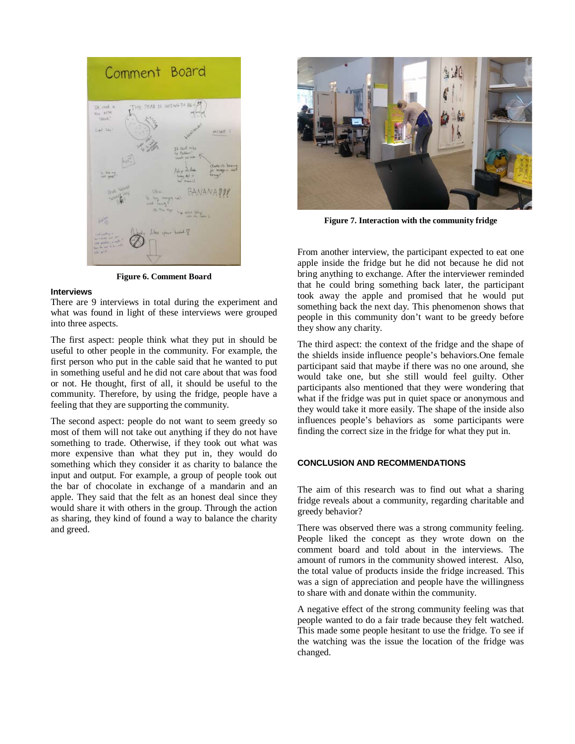

**Figure 6. Comment Board**

#### **Interviews**

There are 9 interviews in total during the experiment and what was found in light of these interviews were grouped into three aspects.

The first aspect: people think what they put in should be useful to other people in the community. For example, the first person who put in the cable said that he wanted to put in something useful and he did not care about that was food or not. He thought, first of all, it should be useful to the community. Therefore, by using the fridge, people have a feeling that they are supporting the community.

The second aspect: people do not want to seem greedy so most of them will not take out anything if they do not have something to trade. Otherwise, if they took out what was more expensive than what they put in, they would do something which they consider it as charity to balance the input and output. For example, a group of people took out the bar of chocolate in exchange of a mandarin and an apple. They said that the felt as an honest deal since they would share it with others in the group. Through the action as sharing, they kind of found a way to balance the charity and greed.



**Figure 7. Interaction with the community fridge**

From another interview, the participant expected to eat one apple inside the fridge but he did not because he did not bring anything to exchange. After the interviewer reminded that he could bring something back later, the participant took away the apple and promised that he would put something back the next day. This phenomenon shows that people in this community don't want to be greedy before they show any charity.

The third aspect: the context of the fridge and the shape of the shields inside influence people's behaviors.One female participant said that maybe if there was no one around, she would take one, but she still would feel guilty. Other participants also mentioned that they were wondering that what if the fridge was put in quiet space or anonymous and they would take it more easily. The shape of the inside also influences people's behaviors as some participants were finding the correct size in the fridge for what they put in.

#### **CONCLUSION AND RECOMMENDATIONS**

The aim of this research was to find out what a sharing fridge reveals about a community, regarding charitable and greedy behavior?

There was observed there was a strong community feeling. People liked the concept as they wrote down on the comment board and told about in the interviews. The amount of rumors in the community showed interest. Also, the total value of products inside the fridge increased. This was a sign of appreciation and people have the willingness to share with and donate within the community.

A negative effect of the strong community feeling was that people wanted to do a fair trade because they felt watched. This made some people hesitant to use the fridge. To see if the watching was the issue the location of the fridge was changed.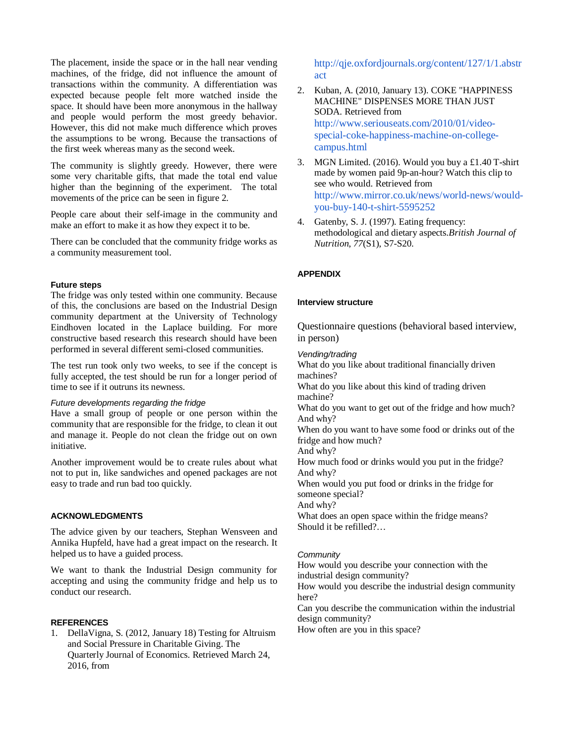The placement, inside the space or in the hall near vending machines, of the fridge, did not influence the amount of transactions within the community. A differentiation was expected because people felt more watched inside the space. It should have been more anonymous in the hallway and people would perform the most greedy behavior. However, this did not make much difference which proves the assumptions to be wrong. Because the transactions of the first week whereas many as the second week.

The community is slightly greedy. However, there were some very charitable gifts, that made the total end value higher than the beginning of the experiment. The total movements of the price can be seen in figure 2.

People care about their self-image in the community and make an effort to make it as how they expect it to be.

There can be concluded that the community fridge works as a community measurement tool.

#### **Future steps**

The fridge was only tested within one community. Because of this, the conclusions are based on the Industrial Design community department at the University of Technology Eindhoven located in the Laplace building. For more constructive based research this research should have been performed in several different semi-closed communities.

The test run took only two weeks, to see if the concept is fully accepted, the test should be run for a longer period of time to see if it outruns its newness.

# *Future developments regarding the fridge*

Have a small group of people or one person within the community that are responsible for the fridge, to clean it out and manage it. People do not clean the fridge out on own initiative.

Another improvement would be to create rules about what not to put in, like sandwiches and opened packages are not easy to trade and run bad too quickly.

## **ACKNOWLEDGMENTS**

The advice given by our teachers, Stephan Wensveen and Annika Hupfeld, have had a great impact on the research. It helped us to have a guided process.

We want to thank the Industrial Design community for accepting and using the community fridge and help us to conduct our research.

# **REFERENCES**

1. DellaVigna, S. (2012, January 18) Testing for Altruism and Social Pressure in Charitable Giving. The Quarterly Journal of Economics. Retrieved March 24, 2016, from

[http://qje.oxfordjournals.org/content/127/1/1.abstr](http://qje.oxfordjournals.org/content/127/1/1.abstract) [act](http://qje.oxfordjournals.org/content/127/1/1.abstract)

- 2. Kuban, A. (2010, January 13). COKE "HAPPINESS MACHINE" DISPENSES MORE THAN JUST SODA. Retrieved from [http://www.seriouseats.com/2010/01/video](http://www.seriouseats.com/2010/01/video-special-coke-happiness-machine-on-college-campus.html)[special-coke-happiness-machine-on-college](http://www.seriouseats.com/2010/01/video-special-coke-happiness-machine-on-college-campus.html)[campus.html](http://www.seriouseats.com/2010/01/video-special-coke-happiness-machine-on-college-campus.html)
- 3. MGN Limited. (2016). Would you buy a £1.40 T-shirt made by women paid 9p-an-hour? Watch this clip to see who would. Retrieved from [http://www.mirror.co.uk/news/world-news/would](http://www.mirror.co.uk/news/world-news/would-you-buy-140-t-shirt-5595252)[you-buy-140-t-shirt-5595252](http://www.mirror.co.uk/news/world-news/would-you-buy-140-t-shirt-5595252)
- 4. Gatenby, S. J. (1997). Eating frequency: methodological and dietary aspects.*British Journal of Nutrition*, *77*(S1), S7-S20.

# **APPENDIX**

#### **Interview structure**

Questionnaire questions (behavioral based interview, in person)

*Vending/trading*

What do you like about traditional financially driven machines? What do you like about this kind of trading driven machine? What do you want to get out of the fridge and how much? And why? When do you want to have some food or drinks out of the fridge and how much? And why? How much food or drinks would you put in the fridge? And why? When would you put food or drinks in the fridge for someone special? And why? What does an open space within the fridge means? Should it be refilled?…

#### *Community*

How would you describe your connection with the industrial design community?

How would you describe the industrial design community here?

Can you describe the communication within the industrial design community?

How often are you in this space?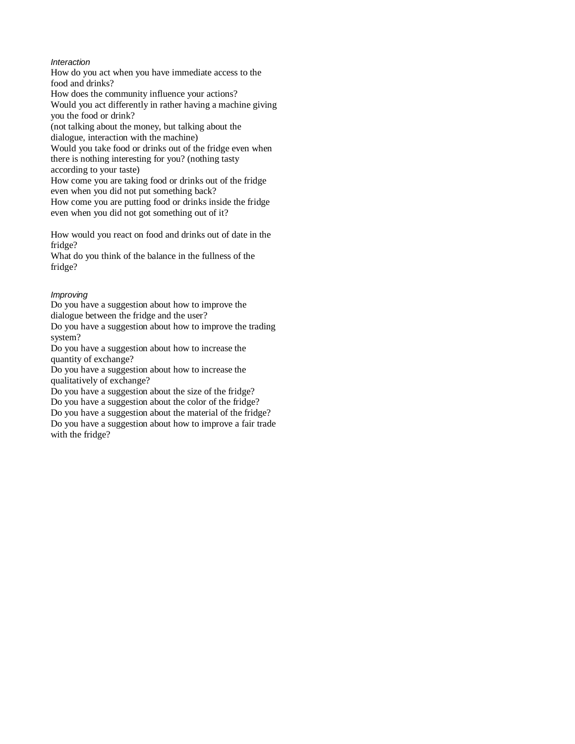# *Interaction*

How do you act when you have immediate access to the food and drinks?

How does the community influence your actions? Would you act differently in rather having a machine giving you the food or drink?

(not talking about the money, but talking about the dialogue, interaction with the machine)

Would you take food or drinks out of the fridge even when there is nothing interesting for you? (nothing tasty

according to your taste)

How come you are taking food or drinks out of the fridge even when you did not put something back?

How come you are putting food or drinks inside the fridge even when you did not got something out of it?

How would you react on food and drinks out of date in the fridge?

What do you think of the balance in the fullness of the fridge?

# *Improving*

Do you have a suggestion about how to improve the dialogue between the fridge and the user?

Do you have a suggestion about how to improve the trading system?

Do you have a suggestion about how to increase the quantity of exchange?

Do you have a suggestion about how to increase the qualitatively of exchange?

Do you have a suggestion about the size of the fridge? Do you have a suggestion about the color of the fridge?

Do you have a suggestion about the material of the fridge?

Do you have a suggestion about how to improve a fair trade with the fridge?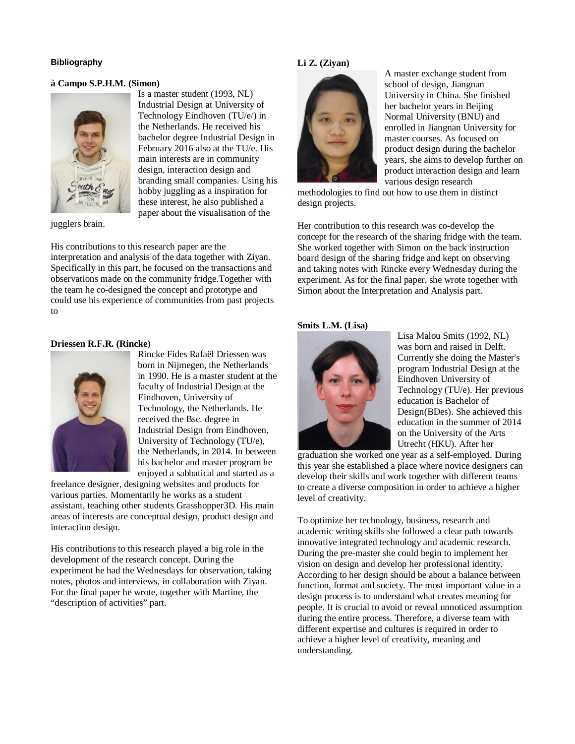## **Bibliography**

## **à Campo S.P.H.M. (Simon)**



jugglers brain.

Industrial Design at University of Technology Eindhoven (TU/e/) in the Netherlands. He received his bachelor degree Industrial Design in February 2016 also at the TU/e. His main interests are in community design, interaction design and branding small companies. Using his hobby juggling as a inspiration for these interest, he also published a paper about the visualisation of the

Is a master student (1993, NL)

His contributions to this research paper are the interpretation and analysis of the data together with Ziyan. Specifically in this part, he focused on the transactions and observations made on the community fridge.Together with the team he co-designed the concept and prototype and could use his experience of communities from past projects to

## **Driessen R.F.R. (Rincke)**



Rincke Fides Rafaël Driessen was born in Nijmegen, the Netherlands in 1990. He is a master student at the faculty of Industrial Design at the Eindhoven, University of Technology, the Netherlands. He received the Bsc. degree in Industrial Design from Eindhoven, University of Technology (TU/e), the Netherlands, in 2014. In between his bachelor and master program he enjoyed a sabbatical and started as a

freelance designer, designing websites and products for various parties. Momentarily he works as a student assistant, teaching other students Grasshopper3D. His main areas of interests are conceptual design, product design and interaction design.

His contributions to this research played a big role in the development of the research concept. During the experiment he had the Wednesdays for observation, taking notes, photos and interviews, in collaboration with Ziyan. For the final paper he wrote, together with Martine, the "description of activities" part.

## **Li Z. (Ziyan)**



A master exchange student from school of design, Jiangnan University in China. She finished her bachelor years in Beijing Normal University (BNU) and enrolled in Jiangnan University for master courses. As focused on product design during the bachelor years, she aims to develop further on product interaction design and learn various design research

methodologies to find out how to use them in distinct design projects.

Her contribution to this research was co-develop the concept for the research of the sharing fridge with the team. She worked together with Simon on the back instruction board design of the sharing fridge and kept on observing and taking notes with Rincke every Wednesday during the experiment. As for the final paper, she wrote together with Simon about the Interpretation and Analysis part.

#### **Smits L.M. (Lisa)**



Lisa Malou Smits (1992, NL) was born and raised in Delft. Currently she doing the Master's program Industrial Design at the Eindhoven University of Technology (TU/e). Her previous education is Bachelor of Design(BDes). She achieved this education in the summer of 2014 on the University of the Arts Utrecht (HKU). After her

graduation she worked one year as a self-employed. During this year she established a place where novice designers can develop their skills and work together with different teams to create a diverse composition in order to achieve a higher level of creativity.

To optimize her technology, business, research and academic writing skills she followed a clear path towards innovative integrated technology and academic research. During the pre-master she could begin to implement her vision on design and develop her professional identity. According to her design should be about a balance between function, format and society. The most important value in a design process is to understand what creates meaning for people. It is crucial to avoid or reveal unnoticed assumption during the entire process. Therefore, a diverse team with different expertise and cultures is required in order to achieve a higher level of creativity, meaning and understanding.